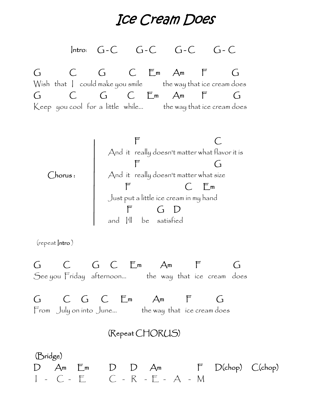*Ice Cream Does*